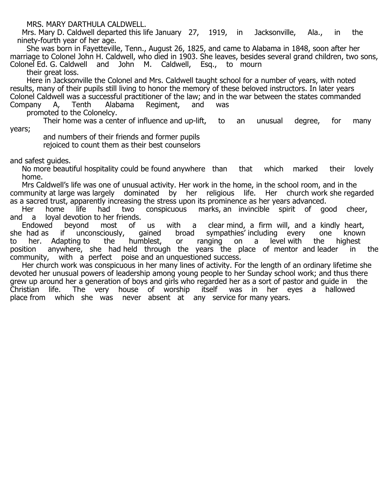MRS. MARY DARTHULA CALDWELL.

 Mrs. Mary D. Caldwell departed this life January 27, 1919, in Jacksonville, Ala., in the ninety-fourth year of her age.

 She was born in Fayetteville, Tenn., August 26, 1825, and came to Alabama in 1848, soon after her marriage to Colonel John H. Caldwell, who died in 1903. She leaves, besides several grand children, two sons, Colonel Ed. G. Caldwell and John M. Caldwell, Esq., to mourn their great loss.

 Here in Jacksonville the Colonel and Mrs. Caldwell taught school for a number of years, with noted results, many of their pupils still living to honor the memory of these beloved instructors. In later years Colonel Caldwell was a successful practitioner of the law; and in the war between the states commanded Company A, Tenth Alabama Regiment, and was Regiment,

promoted to the Colonelcy.

 Their home was a center of influence and up-lift, to an unusual degree, for many years;

 and numbers of their friends and former pupils rejoiced to count them as their best counselors

and safest guides.

 No more beautiful hospitality could be found anywhere than that which marked their lovely home.

 Mrs Caldwell's life was one of unusual activity. Her work in the home, in the school room, and in the community at large was largely dominated by her religious life. Her church work she regarded as a sacred trust, apparently increasing the stress upon its prominence as her years advanced.<br>Her home life had two conspicuous marks, an invincible spirit of go

Her home life had two conspicuous marks, an invincible spirit of good cheer, and a loyal devotion to her friends. l a loyal devotion to her friends.<br>Endowed bevond most of

ond most of us with a clear-mind, a firm-will, and a kindly heart, unconsciously, qained broad sympathies' including every one known she had as if unconsciously, gained broad sympathies' including every one known to her. Adapting to the humblest, or ranging on a level with the highest position anywhere, she had held through the years the place of mentor and leader in the community, with a perfect poise and an unquestioned success.

 Her church work was conspicuous in her many lines of activity. For the length of an ordinary lifetime she devoted her unusual powers of leadership among young people to her Sunday school work; and thus there grew up around her a generation of boys and girls who regarded her as a sort of pastor and guide in the Christian life. The very house of worship itself was in her eyes a hallowed place from which she was never absent at any service for many years.